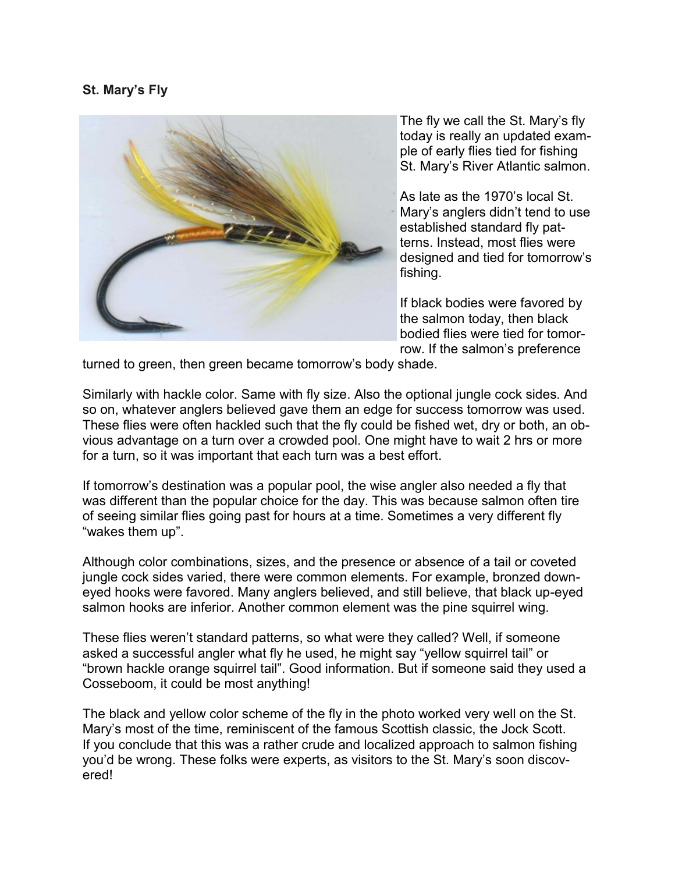## **St. Mary's Fly**



The fly we call the St. Mary's fly today is really an updated example of early flies tied for fishing St. Mary's River Atlantic salmon.

As late as the 1970's local St. Mary's anglers didn't tend to use established standard fly patterns. Instead, most flies were designed and tied for tomorrow's fishing.

If black bodies were favored by the salmon today, then black bodied flies were tied for tomorrow. If the salmon's preference

turned to green, then green became tomorrow's body shade.

Similarly with hackle color. Same with fly size. Also the optional jungle cock sides. And so on, whatever anglers believed gave them an edge for success tomorrow was used. These flies were often hackled such that the fly could be fished wet, dry or both, an obvious advantage on a turn over a crowded pool. One might have to wait 2 hrs or more for a turn, so it was important that each turn was a best effort.

If tomorrow's destination was a popular pool, the wise angler also needed a fly that was different than the popular choice for the day. This was because salmon often tire of seeing similar flies going past for hours at a time. Sometimes a very different fly "wakes them up".

Although color combinations, sizes, and the presence or absence of a tail or coveted jungle cock sides varied, there were common elements. For example, bronzed downeyed hooks were favored. Many anglers believed, and still believe, that black up-eyed salmon hooks are inferior. Another common element was the pine squirrel wing.

These flies weren't standard patterns, so what were they called? Well, if someone asked a successful angler what fly he used, he might say "yellow squirrel tail" or "brown hackle orange squirrel tail". Good information. But if someone said they used a Cosseboom, it could be most anything!

The black and yellow color scheme of the fly in the photo worked very well on the St. Mary's most of the time, reminiscent of the famous Scottish classic, the Jock Scott. If you conclude that this was a rather crude and localized approach to salmon fishing you'd be wrong. These folks were experts, as visitors to the St. Mary's soon discovered!